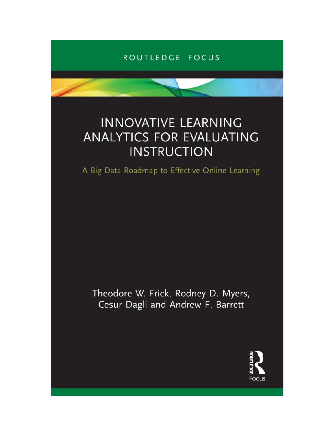## ROUTLEDGE FOCUS

# **INNOVATIVE LEARNING ANALYTICS FOR EVALUATING INSTRUCTION**

A Big Data Roadmap to Effective Online Learning

Theodore W. Frick, Rodney D. Myers, Cesur Dagli and Andrew F. Barrett

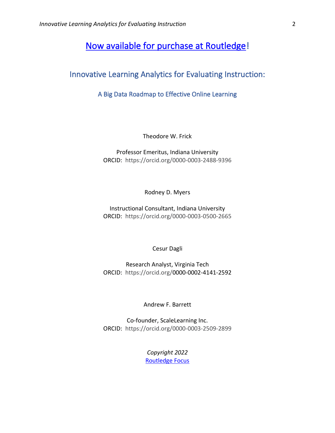## [Now available for purchase at Routledge!](https://www.routledge.com/Innovative-Learning-Analytics-for-Evaluating-Instruction-A-Big-Data-Roadmap/Frick-Myers-Dagli-Barrett/p/book/9781032000183)

## Innovative Learning Analytics for Evaluating Instruction:

### A Big Data Roadmap to Effective Online Learning

Theodore W. Frick

#### Professor Emeritus, Indiana University ORCID: https://orcid.org/0000-0003-2488-9396

Rodney D. Myers

Instructional Consultant, Indiana University ORCID: https://orcid.org/0000-0003-0500-2665

Cesur Dagli

Research Analyst, Virginia Tech ORCID: https://orcid.org/0000-0002-4141-2592

Andrew F. Barrett

Co-founder, ScaleLearning Inc. ORCID: https://orcid.org/0000-0003-2509-2899

> *Copyright 2022* [Routledge](https://www.routledge.com/Innovative-Learning-Analytics-for-Evaluating-Instruction-A-Big-Data-Roadmap/Frick-Myers-Dagli-Barrett/p/book/9781032000183) Focus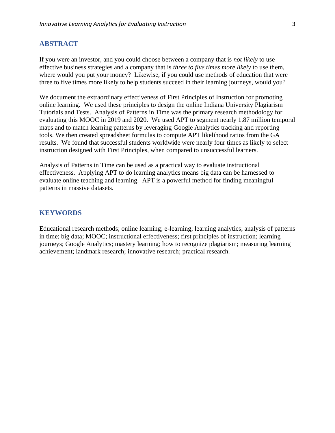#### **ABSTRACT**

If you were an investor, and you could choose between a company that is *not likely* to use effective business strategies and a company that is *three to five times more likely* to use them, where would you put your money? Likewise, if you could use methods of education that were three to five times more likely to help students succeed in their learning journeys, would you?

We document the extraordinary effectiveness of First Principles of Instruction for promoting online learning. We used these principles to design the online Indiana University Plagiarism Tutorials and Tests. Analysis of Patterns in Time was the primary research methodology for evaluating this MOOC in 2019 and 2020. We used APT to segment nearly 1.87 million temporal maps and to match learning patterns by leveraging Google Analytics tracking and reporting tools. We then created spreadsheet formulas to compute APT likelihood ratios from the GA results. We found that successful students worldwide were nearly four times as likely to select instruction designed with First Principles, when compared to unsuccessful learners.

Analysis of Patterns in Time can be used as a practical way to evaluate instructional effectiveness. Applying APT to do learning analytics means big data can be harnessed to evaluate online teaching and learning. APT is a powerful method for finding meaningful patterns in massive datasets.

#### **KEYWORDS**

Educational research methods; online learning; e-learning; learning analytics; analysis of patterns in time; big data; MOOC; instructional effectiveness; first principles of instruction; learning journeys; Google Analytics; mastery learning; how to recognize plagiarism; measuring learning achievement; landmark research; innovative research; practical research.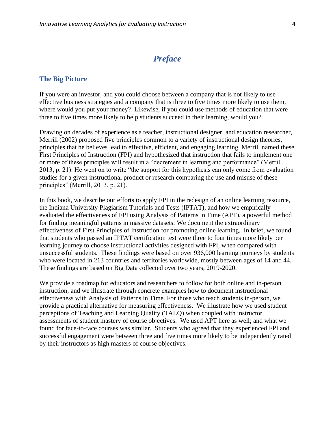## *Preface*

#### **The Big Picture**

If you were an investor, and you could choose between a company that is not likely to use effective business strategies and a company that is three to five times more likely to use them, where would you put your money? Likewise, if you could use methods of education that were three to five times more likely to help students succeed in their learning, would you?

Drawing on decades of experience as a teacher, instructional designer, and education researcher, Merrill (2002) proposed five principles common to a variety of instructional design theories, principles that he believes lead to effective, efficient, and engaging learning. Merrill named these First Principles of Instruction (FPI) and hypothesized that instruction that fails to implement one or more of these principles will result in a "decrement in learning and performance" (Merrill, 2013, p. 21). He went on to write "the support for this hypothesis can only come from evaluation studies for a given instructional product or research comparing the use and misuse of these principles" (Merrill, 2013, p. 21).

In this book, we describe our efforts to apply FPI in the redesign of an online learning resource, the Indiana University Plagiarism Tutorials and Tests (IPTAT), and how we empirically evaluated the effectiveness of FPI using Analysis of Patterns in Time (APT), a powerful method for finding meaningful patterns in massive datasets. We document the extraordinary effectiveness of First Principles of Instruction for promoting online learning. In brief, we found that students who passed an IPTAT certification test were three to four times more likely per learning journey to choose instructional activities designed with FPI, when compared with unsuccessful students. These findings were based on over 936,000 learning journeys by students who were located in 213 countries and territories worldwide, mostly between ages of 14 and 44. These findings are based on Big Data collected over two years, 2019-2020.

We provide a roadmap for educators and researchers to follow for both online and in-person instruction, and we illustrate through concrete examples how to document instructional effectiveness with Analysis of Patterns in Time. For those who teach students in-person, we provide a practical alternative for measuring effectiveness. We illustrate how we used student perceptions of Teaching and Learning Quality (TALQ) when coupled with instructor assessments of student mastery of course objectives. We used APT here as well; and what we found for face-to-face courses was similar. Students who agreed that they experienced FPI and successful engagement were between three and five times more likely to be independently rated by their instructors as high masters of course objectives.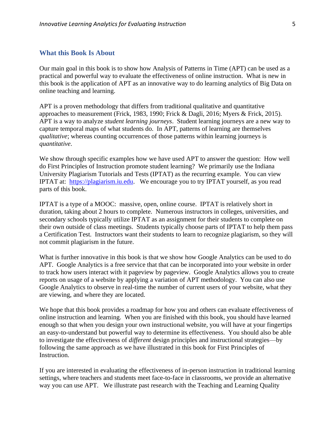#### **What this Book Is About**

Our main goal in this book is to show how Analysis of Patterns in Time (APT) can be used as a practical and powerful way to evaluate the effectiveness of online instruction. What is new in this book is the application of APT as an innovative way to do learning analytics of Big Data on online teaching and learning.

APT is a proven methodology that differs from traditional qualitative and quantitative approaches to measurement (Frick, 1983, 1990; Frick & Dagli, 2016; Myers & Frick, 2015). APT is a way to analyze *student learning journeys*. Student learning journeys are a new way to capture temporal maps of what students do. In APT, patterns of learning are themselves *qualitative*; whereas counting occurrences of those patterns within learning journeys is *quantitative*.

We show through specific examples how we have used APT to answer the question: How well do First Principles of Instruction promote student learning? We primarily use the Indiana University Plagiarism Tutorials and Tests (IPTAT) as the recurring example. You can view IPTAT at: [https://plagiarism.iu.edu.](https://plagiarism.iu.edu/) We encourage you to try IPTAT yourself, as you read parts of this book.

IPTAT is a type of a MOOC: massive, open, online course. IPTAT is relatively short in duration, taking about 2 hours to complete. Numerous instructors in colleges, universities, and secondary schools typically utilize IPTAT as an assignment for their students to complete on their own outside of class meetings. Students typically choose parts of IPTAT to help them pass a Certification Test. Instructors want their students to learn to recognize plagiarism, so they will not commit plagiarism in the future.

What is further innovative in this book is that we show how Google Analytics can be used to do APT. Google Analytics is a free service that that can be incorporated into your website in order to track how users interact with it pageview by pageview. Google Analytics allows you to create reports on usage of a website by applying a variation of APT methodology. You can also use Google Analytics to observe in real-time the number of current users of your website, what they are viewing, and where they are located.

We hope that this book provides a roadmap for how you and others can evaluate effectiveness of online instruction and learning. When you are finished with this book, you should have learned enough so that when you design your own instructional website, you will have at your fingertips an easy-to-understand but powerful way to determine its effectiveness. You should also be able to investigate the effectiveness of *different* design principles and instructional strategies—by following the same approach as we have illustrated in this book for First Principles of Instruction.

If you are interested in evaluating the effectiveness of in-person instruction in traditional learning settings, where teachers and students meet face-to-face in classrooms, we provide an alternative way you can use APT. We illustrate past research with the Teaching and Learning Quality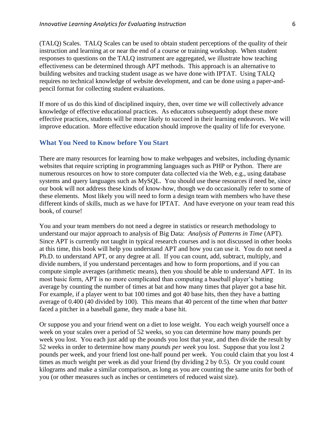(TALQ) Scales. TALQ Scales can be used to obtain student perceptions of the quality of their instruction and learning at or near the end of a course or training workshop. When student responses to questions on the TALQ instrument are aggregated, we illustrate how teaching effectiveness can be determined through APT methods. This approach is an alternative to building websites and tracking student usage as we have done with IPTAT. Using TALQ requires no technical knowledge of website development, and can be done using a paper-andpencil format for collecting student evaluations.

If more of us do this kind of disciplined inquiry, then, over time we will collectively advance knowledge of effective educational practices. As educators subsequently adopt these more effective practices, students will be more likely to succeed in their learning endeavors. We will improve education. More effective education should improve the quality of life for everyone.

#### **What You Need to Know before You Start**

There are many resources for learning how to make webpages and websites, including dynamic websites that require scripting in programming languages such as PHP or Python. There are numerous resources on how to store computer data collected via the Web, e.g., using database systems and query languages such as MySQL. You should use these resources if need be, since our book will not address these kinds of know-how, though we do occasionally refer to some of these elements. Most likely you will need to form a design team with members who have these different kinds of skills, much as we have for IPTAT. And have everyone on your team read this book, of course!

You and your team members do not need a degree in statistics or research methodology to understand our major approach to analysis of Big Data: *Analysis of Patterns in Time* (APT). Since APT is currently not taught in typical research courses and is not discussed in other books at this time, this book will help you understand APT and how you can use it. You do not need a Ph.D. to understand APT, or any degree at all. If you can count, add, subtract, multiply, and divide numbers, if you understand percentages and how to form proportions, and if you can compute simple averages (arithmetic means), then you should be able to understand APT. In its most basic form, APT is no more complicated than computing a baseball player's batting average by counting the number of times at bat and how many times that player got a base hit. For example, if a player went to bat 100 times and got 40 base hits, then they have a batting average of 0.400 (40 divided by 100). This means that 40 percent of the time when *that batter* faced a pitcher in a baseball game, they made a base hit.

Or suppose you and your friend went on a diet to lose weight. You each weigh yourself once a week on your scales over a period of 52 weeks, so you can determine how many pounds per week you lost. You each just add up the pounds you lost that year, and then divide the result by 52 weeks in order to determine how many *pounds per week* you lost. Suppose that you lost 2 pounds per week, and your friend lost one-half pound per week. You could claim that you lost 4 times as much weight per week as did your friend (by dividing 2 by 0.5). Or you could count kilograms and make a similar comparison, as long as you are counting the same units for both of you (or other measures such as inches or centimeters of reduced waist size).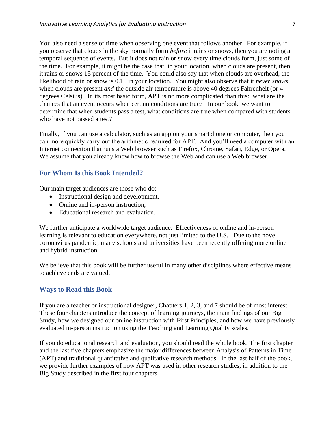You also need a sense of time when observing one event that follows another. For example, if you observe that clouds in the sky normally form *before* it rains or snows, then you are noting a temporal sequence of events. But it does not rain or snow every time clouds form, just some of the time. For example, it might be the case that, in your location, when clouds are present, then it rains or snows 15 percent of the time. You could also say that when clouds are overhead, the likelihood of rain or snow is 0.15 in your location. You might also observe that it *never snows* when clouds are present *and* the outside air temperature is above 40 degrees Fahrenheit (or 4 degrees Celsius). In its most basic form, APT is no more complicated than this: what are the chances that an event occurs when certain conditions are true? In our book, we want to determine that when students pass a test, what conditions are true when compared with students who have not passed a test?

Finally, if you can use a calculator, such as an app on your smartphone or computer, then you can more quickly carry out the arithmetic required for APT. And you'll need a computer with an Internet connection that runs a Web browser such as Firefox, Chrome, Safari, Edge, or Opera. We assume that you already know how to browse the Web and can use a Web browser.

#### **For Whom Is this Book Intended?**

Our main target audiences are those who do:

- Instructional design and development,
- Online and in-person instruction,
- Educational research and evaluation.

We further anticipate a worldwide target audience. Effectiveness of online and in-person learning is relevant to education everywhere, not just limited to the U.S. Due to the novel coronavirus pandemic, many schools and universities have been recently offering more online and hybrid instruction.

We believe that this book will be further useful in many other disciplines where effective means to achieve ends are valued.

#### **Ways to Read this Book**

If you are a teacher or instructional designer, Chapters 1, 2, 3, and 7 should be of most interest. These four chapters introduce the concept of learning journeys, the main findings of our Big Study, how we designed our online instruction with First Principles, and how we have previously evaluated in-person instruction using the Teaching and Learning Quality scales.

If you do educational research and evaluation, you should read the whole book. The first chapter and the last five chapters emphasize the major differences between Analysis of Patterns in Time (APT) and traditional quantitative and qualitative research methods. In the last half of the book, we provide further examples of how APT was used in other research studies, in addition to the Big Study described in the first four chapters.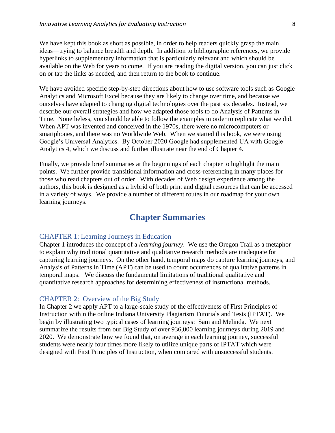We have kept this book as short as possible, in order to help readers quickly grasp the main ideas—trying to balance breadth and depth. In addition to bibliographic references, we provide hyperlinks to supplementary information that is particularly relevant and which should be available on the Web for years to come. If you are reading the digital version, you can just click on or tap the links as needed, and then return to the book to continue.

We have avoided specific step-by-step directions about how to use software tools such as Google Analytics and Microsoft Excel because they are likely to change over time, and because we ourselves have adapted to changing digital technologies over the past six decades. Instead, we describe our overall strategies and how we adapted those tools to do Analysis of Patterns in Time. Nonetheless, you should be able to follow the examples in order to replicate what we did. When APT was invented and conceived in the 1970s, there were no microcomputers or smartphones, and there was no Worldwide Web. When we started this book, we were using Google's Universal Analytics. By October 2020 Google had supplemented UA with Google Analytics 4, which we discuss and further illustrate near the end of Chapter 4.

Finally, we provide brief summaries at the beginnings of each chapter to highlight the main points. We further provide transitional information and cross-referencing in many places for those who read chapters out of order. With decades of Web design experience among the authors, this book is designed as a hybrid of both print and digital resources that can be accessed in a variety of ways. We provide a number of different routes in our roadmap for your own learning journeys.

## **Chapter Summaries**

#### CHAPTER 1: Learning Journeys in Education

Chapter 1 introduces the concept of a *learning journey*. We use the Oregon Trail as a metaphor to explain why traditional quantitative and qualitative research methods are inadequate for capturing learning journeys. On the other hand, temporal maps do capture learning journeys, and Analysis of Patterns in Time (APT) can be used to count occurrences of qualitative patterns in temporal maps. We discuss the fundamental limitations of traditional qualitative and quantitative research approaches for determining effectiveness of instructional methods.

#### CHAPTER 2: Overview of the Big Study

In Chapter 2 we apply APT to a large-scale study of the effectiveness of First Principles of Instruction within the online Indiana University Plagiarism Tutorials and Tests (IPTAT). We begin by illustrating two typical cases of learning journeys: Sam and Melinda. We next summarize the results from our Big Study of over 936,000 learning journeys during 2019 and 2020. We demonstrate how we found that, on average in each learning journey, successful students were nearly four times more likely to utilize unique parts of IPTAT which were designed with First Principles of Instruction, when compared with unsuccessful students.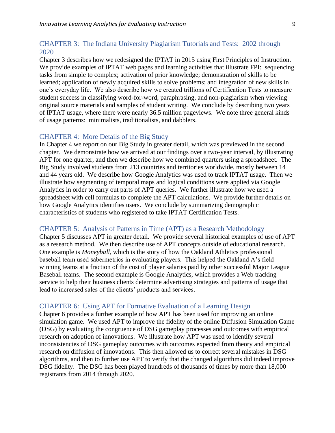#### CHAPTER 3: The Indiana University Plagiarism Tutorials and Tests: 2002 through 2020

Chapter 3 describes how we redesigned the IPTAT in 2015 using First Principles of Instruction. We provide examples of IPTAT web pages and learning activities that illustrate FPI: sequencing tasks from simple to complex; activation of prior knowledge; demonstration of skills to be learned; application of newly acquired skills to solve problems; and integration of new skills in one's everyday life. We also describe how we created trillions of Certification Tests to measure student success in classifying word-for-word, paraphrasing, and non-plagiarism when viewing original source materials and samples of student writing. We conclude by describing two years of IPTAT usage, where there were nearly 36.5 million pageviews. We note three general kinds of usage patterns: minimalists, traditionalists, and dabblers.

#### CHAPTER 4: More Details of the Big Study

In Chapter 4 we report on our Big Study in greater detail, which was previewed in the second chapter. We demonstrate how we arrived at our findings over a two-year interval, by illustrating APT for one quarter, and then we describe how we combined quarters using a spreadsheet. The Big Study involved students from 213 countries and territories worldwide, mostly between 14 and 44 years old. We describe how Google Analytics was used to track IPTAT usage. Then we illustrate how segmenting of temporal maps and logical conditions were applied via Google Analytics in order to carry out parts of APT queries. We further illustrate how we used a spreadsheet with cell formulas to complete the APT calculations. We provide further details on how Google Analytics identifies users. We conclude by summarizing demographic characteristics of students who registered to take IPTAT Certification Tests.

#### CHAPTER 5: Analysis of Patterns in Time (APT) as a Research Methodology

Chapter 5 discusses APT in greater detail. We provide several historical examples of use of APT as a research method. We then describe use of APT concepts outside of educational research. One example is *Moneyball*, which is the story of how the Oakland Athletics professional baseball team used sabermetrics in evaluating players. This helped the Oakland A's field winning teams at a fraction of the cost of player salaries paid by other successful Major League Baseball teams. The second example is Google Analytics, which provides a Web tracking service to help their business clients determine advertising strategies and patterns of usage that lead to increased sales of the clients' products and services.

#### CHAPTER 6: Using APT for Formative Evaluation of a Learning Design

Chapter 6 provides a further example of how APT has been used for improving an online simulation game. We used APT to improve the fidelity of the online Diffusion Simulation Game (DSG) by evaluating the congruence of DSG gameplay processes and outcomes with empirical research on adoption of innovations. We illustrate how APT was used to identify several inconsistencies of DSG gameplay outcomes with outcomes expected from theory and empirical research on diffusion of innovations. This then allowed us to correct several mistakes in DSG algorithms, and then to further use APT to verify that the changed algorithms did indeed improve DSG fidelity. The DSG has been played hundreds of thousands of times by more than 18,000 registrants from 2014 through 2020.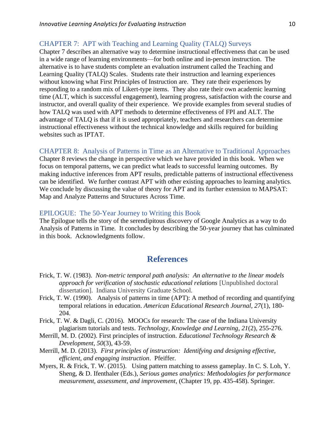#### CHAPTER 7: APT with Teaching and Learning Quality (TALQ) Surveys

Chapter 7 describes an alternative way to determine instructional effectiveness that can be used in a wide range of learning environments—for both online and in-person instruction. The alternative is to have students complete an evaluation instrument called the Teaching and Learning Quality (TALQ) Scales. Students rate their instruction and learning experiences without knowing what First Principles of Instruction are. They rate their experiences by responding to a random mix of Likert-type items. They also rate their own academic learning time (ALT, which is successful engagement), learning progress, satisfaction with the course and instructor, and overall quality of their experience. We provide examples from several studies of how TALQ was used with APT methods to determine effectiveness of FPI and ALT. The advantage of TALQ is that if it is used appropriately, teachers and researchers can determine instructional effectiveness without the technical knowledge and skills required for building websites such as IPTAT.

#### CHAPTER 8: Analysis of Patterns in Time as an Alternative to Traditional Approaches

Chapter 8 reviews the change in perspective which we have provided in this book. When we focus on temporal patterns, we can predict what leads to successful learning outcomes. By making inductive inferences from APT results, predictable patterns of instructional effectiveness can be identified. We further contrast APT with other existing approaches to learning analytics. We conclude by discussing the value of theory for APT and its further extension to MAPSAT: Map and Analyze Patterns and Structures Across Time.

#### EPILOGUE: The 50-Year Journey to Writing this Book

The Epilogue tells the story of the serendipitous discovery of Google Analytics as a way to do Analysis of Patterns in Time. It concludes by describing the 50-year journey that has culminated in this book. Acknowledgments follow.

## **References**

- Frick, T. W. (1983). *Non-metric temporal path analysis: An alternative to the linear models approach for verification of stochastic educational relations* [Unpublished doctoral dissertation]. Indiana University Graduate School.
- Frick, T. W. (1990). Analysis of patterns in time (APT): A method of recording and quantifying temporal relations in education. *American Educational Research Journal, 27*(1), 180- 204.
- Frick, T. W. & Dagli, C. (2016). MOOCs for research: The case of the Indiana University plagiarism tutorials and tests. *Technology, Knowledge and Learning*, *21*(2), 255-276.
- Merrill, M. D. (2002). First principles of instruction. *Educational Technology Research & Development, 50*(3), 43-59.
- Merrill, M. D. (2013). *First principles of instruction: Identifying and designing effective, efficient, and engaging instruction*. Pfeiffer.
- Myers, R. & Frick, T. W. (2015). Using pattern matching to assess gameplay. In C. S. Loh, Y. Sheng, & D. Ifenthaler (Eds.), *Serious games analytics: Methodologies for performance measurement, assessment, and improvement*, (Chapter 19, pp. 435-458). Springer.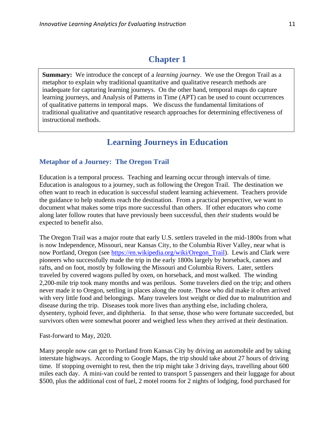## **Chapter 1**

**Summary:** We introduce the concept of a *learning journey*. We use the Oregon Trail as a metaphor to explain why traditional quantitative and qualitative research methods are inadequate for capturing learning journeys. On the other hand, temporal maps do capture learning journeys, and Analysis of Patterns in Time (APT) can be used to count occurrences of qualitative patterns in temporal maps. We discuss the fundamental limitations of traditional qualitative and quantitative research approaches for determining effectiveness of instructional methods.

## **Learning Journeys in Education**

#### **Metaphor of a Journey: The Oregon Trail**

Education is a temporal process. Teaching and learning occur through intervals of time. Education is analogous to a journey, such as following the Oregon Trail. The destination we often want to reach in education is successful student learning achievement. Teachers provide the guidance to help students reach the destination. From a practical perspective, we want to document what makes some trips more successful than others. If other educators who come along later follow routes that have previously been successful, then *their* students would be expected to benefit also.

The Oregon Trail was a major route that early U.S. settlers traveled in the mid-1800s from what is now Independence, Missouri, near Kansas City, to the Columbia River Valley, near what is now Portland, Oregon (see [https://en.wikipedia.org/wiki/Oregon\\_Trail\)](https://en.wikipedia.org/wiki/Oregon_Trail). Lewis and Clark were pioneers who successfully made the trip in the early 1800s largely by horseback, canoes and rafts, and on foot, mostly by following the Missouri and Columbia Rivers. Later, settlers traveled by covered wagons pulled by oxen, on horseback, and most walked. The winding 2,200-mile trip took many months and was perilous. Some travelers died on the trip; and others never made it to Oregon, settling in places along the route. Those who did make it often arrived with very little food and belongings. Many travelers lost weight or died due to malnutrition and disease during the trip. Diseases took more lives than anything else, including cholera, dysentery, typhoid fever, and diphtheria. In that sense, those who were fortunate succeeded, but survivors often were somewhat poorer and weighed less when they arrived at their destination.

Fast-forward to May, 2020.

Many people now can get to Portland from Kansas City by driving an automobile and by taking interstate highways. According to Google Maps, the trip should take about 27 hours of driving time. If stopping overnight to rest, then the trip might take 3 driving days, travelling about 600 miles each day. A mini-van could be rented to transport 5 passengers and their luggage for about \$500, plus the additional cost of fuel, 2 motel rooms for 2 nights of lodging, food purchased for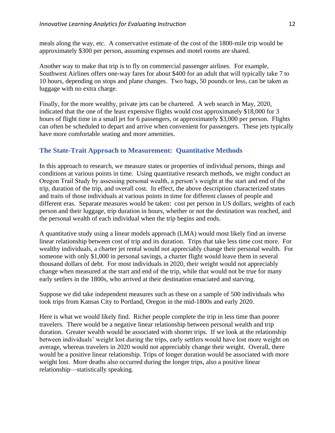meals along the way, etc. A conservative estimate of the cost of the 1800-mile trip would be approximately \$300 per person, assuming expenses and motel rooms are shared.

Another way to make that trip is to fly on commercial passenger airlines. For example, Southwest Airlines offers one-way fares for about \$400 for an adult that will typically take 7 to 10 hours, depending on stops and plane changes. Two bags, 50 pounds or less, can be taken as luggage with no extra charge.

Finally, for the more wealthy, private jets can be chartered. A web search in May, 2020, indicated that the one of the least expensive flights would cost approximately \$18,000 for 3 hours of flight time in a small jet for 6 passengers, or approximately \$3,000 per person. Flights can often be scheduled to depart and arrive when convenient for passengers. These jets typically have more comfortable seating and more amenities.

#### **The State-Trait Approach to Measurement: Quantitative Methods**

In this approach to research, we measure states or properties of individual persons, things and conditions at various points in time. Using quantitative research methods, we might conduct an Oregon Trail Study by assessing personal wealth, a person's weight at the start and end of the trip, duration of the trip, and overall cost. In effect, the above description characterized states and traits of those individuals at various points in time for different classes of people and different eras. Separate measures would be taken: cost per person in US dollars, weights of each person and their luggage, trip duration in hours, whether or not the destination was reached, and the personal wealth of each individual when the trip begins and ends.

A quantitative study using a linear models approach (LMA) would most likely find an inverse linear relationship between cost of trip and its duration. Trips that take less time cost more. For wealthy individuals, a charter jet rental would not appreciably change their personal wealth. For someone with only \$1,000 in personal savings, a charter flight would leave them in several thousand dollars of debt. For most individuals in 2020, their weight would not appreciably change when measured at the start and end of the trip, while that would not be true for many early settlers in the 1800s, who arrived at their destination emaciated and starving.

Suppose we did take independent measures such as these on a sample of 500 individuals who took trips from Kansas City to Portland, Oregon in the mid-1800s and early 2020.

Here is what we would likely find. Richer people complete the trip in less time than poorer travelers. There would be a negative linear relationship between personal wealth and trip duration. Greater wealth would be associated with shorter trips. If we look at the relationship between individuals' weight lost during the trips, early settlers would have lost more weight on average, whereas travelers in 2020 would not appreciably change their weight. Overall, there would be a positive linear relationship. Trips of longer duration would be associated with more weight lost. More deaths also occurred during the longer trips, also a positive linear relationship—statistically speaking.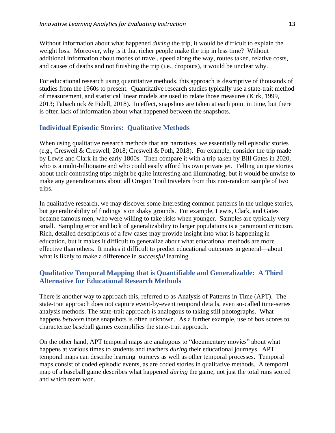Without information about what happened *during* the trip, it would be difficult to explain the weight loss. Moreover, why is it that richer people make the trip in less time? Without additional information about modes of travel, speed along the way, routes taken, relative costs, and causes of deaths and not finishing the trip (i.e., dropouts), it would be unclear why.

For educational research using quantitative methods, this approach is descriptive of thousands of studies from the 1960s to present. Quantitative research studies typically use a state-trait method of measurement, and statistical linear models are used to relate those measures (Kirk, 1999, 2013; Tabachnick & Fidell, 2018). In effect, snapshots are taken at each point in time, but there is often lack of information about what happened between the snapshots.

#### **Individual Episodic Stories: Qualitative Methods**

When using qualitative research methods that are narratives, we essentially tell episodic stories (e.g., Creswell & Creswell, 2018; Creswell & Poth, 2018). For example, consider the trip made by Lewis and Clark in the early 1800s. Then compare it with a trip taken by Bill Gates in 2020, who is a multi-billionaire and who could easily afford his own private jet. Telling unique stories about their contrasting trips might be quite interesting and illuminating, but it would be unwise to make any generalizations about all Oregon Trail travelers from this non-random sample of two trips.

In qualitative research, we may discover some interesting common patterns in the unique stories, but generalizability of findings is on shaky grounds. For example, Lewis, Clark, and Gates became famous men, who were willing to take risks when younger. Samples are typically very small. Sampling error and lack of generalizability to larger populations is a paramount criticism. Rich, detailed descriptions of a few cases may provide insight into what is happening in education, but it makes it difficult to generalize about what educational methods are more effective than others. It makes it difficult to predict educational outcomes in general—about what is likely to make a difference in *successful* learning.

#### **Qualitative Temporal Mapping that is Quantifiable and Generalizable: A Third Alternative for Educational Research Methods**

There is another way to approach this, referred to as Analysis of Patterns in Time (APT). The state-trait approach does not capture event-by-event temporal details, even so-called time-series analysis methods. The state-trait approach is analogous to taking still photographs. What happens *between* those snapshots is often unknown. As a further example, use of box scores to characterize baseball games exemplifies the state-trait approach.

On the other hand, APT temporal maps are analogous to "documentary movies" about what happens at various times to students and teachers *during* their educational journeys. APT temporal maps can describe learning journeys as well as other temporal processes. Temporal maps consist of coded episodic events, as are coded stories in qualitative methods. A temporal map of a baseball game describes what happened *during* the game, not just the total runs scored and which team won.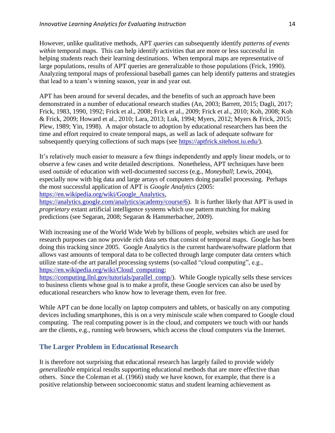However, unlike qualitative methods, APT *queries* can subsequently identify *patterns of events within* temporal maps. This can help identify activities that are more or less successful in helping students reach their learning destinations. When temporal maps are representative of large populations, results of APT queries are generalizable to those populations (Frick, 1990). Analyzing temporal maps of professional baseball games can help identify patterns and strategies that lead to a team's winning season, year in and year out.

APT has been around for several decades, and the benefits of such an approach have been demonstrated in a number of educational research studies (An, 2003; Barrett, 2015; Dagli, 2017; Frick, 1983, 1990, 1992; Frick et al., 2008; Frick et al., 2009; Frick et al., 2010; Koh, 2008; Koh & Frick, 2009; Howard et al., 2010; Lara, 2013; Luk, 1994; Myers, 2012; Myers & Frick, 2015; Plew, 1989; Yin, 1998). A major obstacle to adoption by educational researchers has been the time and effort required to create temporal maps, as well as lack of adequate software for subsequently querying collections of such maps (see [https://aptfrick.sitehost.iu.edu/\)](https://aptfrick.sitehost.iu.edu/).

It's relatively much easier to measure a few things independently and apply linear models, or to observe a few cases and write detailed descriptions. Nonetheless, APT techniques have been used *outside* of education with well-documented success (e.g., *Moneyball*; Lewis, 2004), especially now with big data and large arrays of computers doing parallel processing. Perhaps the most successful application of APT is *Google Analytics* (2005: [https://en.wikipedia.org/wiki/Google\\_Analytics,](https://en.wikipedia.org/wiki/Google_Analytics)

[https://analytics.google.com/analytics/academy/course/6\)](https://analytics.google.com/analytics/academy/course/6). It is further likely that APT is used in *proprietary* extant artificial intelligence systems which use pattern matching for making predictions (see Segaran, 2008; Segaran & Hammerbacher, 2009).

With increasing use of the World Wide Web by billions of people, websites which are used for research purposes can now provide rich data sets that consist of temporal maps. Google has been doing this tracking since 2005. Google Analytics is the current hardware/software platform that allows vast amounts of temporal data to be collected through large computer data centers which utilize state-of-the art parallel processing systems (so-called "cloud computing", e.g., [https://en.wikipedia.org/wiki/Cloud\\_computing;](https://en.wikipedia.org/wiki/Cloud_computing)

[https://computing.llnl.gov/tutorials/parallel\\_comp/\)](https://computing.llnl.gov/tutorials/parallel_comp/). While Google typically sells these services to business clients whose goal is to make a profit, these Google services can also be used by educational researchers who know how to leverage them, even for free.

While APT can be done locally on laptop computers and tablets, or basically on any computing devices including smartphones, this is on a very miniscule scale when compared to Google cloud computing. The real computing power is in the cloud, and computers we touch with our hands are the clients, e.g., running web browsers, which access the cloud computers via the Internet.

#### **The Larger Problem in Educational Research**

It is therefore not surprising that educational research has largely failed to provide widely *generalizable* empirical results supporting educational methods that are more effective than others. Since the Coleman et al. (1966) study we have known, for example, that there is a positive relationship between socioeconomic status and student learning achievement as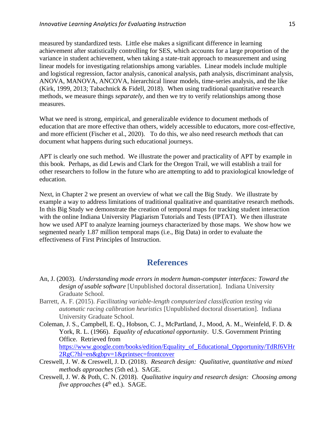measured by standardized tests. Little else makes a significant difference in learning achievement after statistically controlling for SES, which accounts for a large proportion of the variance in student achievement, when taking a state-trait approach to measurement and using linear models for investigating relationships among variables. Linear models include multiple and logistical regression, factor analysis, canonical analysis, path analysis, discriminant analysis, ANOVA, MANOVA, ANCOVA, hierarchical linear models, time-series analysis, and the like (Kirk, 1999, 2013; Tabachnick & Fidell, 2018). When using traditional quantitative research methods, we measure things *separately*, and then we try to verify relationships among those measures.

What we need is strong, empirical, and generalizable evidence to document methods of education that are more effective than others, widely accessible to educators, more cost-effective, and more efficient (Fischer et al., 2020). To do this, we also need research *methods* that can document what happens during such educational journeys.

APT is clearly one such method. We illustrate the power and practicality of APT by example in this book. Perhaps, as did Lewis and Clark for the Oregon Trail, we will establish a trail for other researchers to follow in the future who are attempting to add to praxiological knowledge of education.

Next, in Chapter 2 we present an overview of what we call the Big Study. We illustrate by example a way to address limitations of traditional qualitative and quantitative research methods. In this Big Study we demonstrate the creation of temporal maps for tracking student interaction with the online Indiana University Plagiarism Tutorials and Tests (IPTAT). We then illustrate how we used APT to analyze learning journeys characterized by those maps. We show how we segmented nearly 1.87 million temporal maps (i.e., Big Data) in order to evaluate the effectiveness of First Principles of Instruction.

### **References**

- An, J. (2003). *Understanding mode errors in modern human-computer interfaces: Toward the design of usable software* [Unpublished doctoral dissertation]. Indiana University Graduate School.
- Barrett, A. F. (2015). *Facilitating variable-length computerized classification testing via automatic racing calibration heuristics* [Unpublished doctoral dissertation]. Indiana University Graduate School.
- Coleman, J. S., Campbell, E. Q., Hobson, C. J., McPartland, J., Mood, A. M., Weinfeld, F. D. & York, R. L. (1966). *Equality of educational opportunity*. U.S. Government Printing Office. Retrieved from [https://www.google.com/books/edition/Equality\\_of\\_Educational\\_Opportunity/TdRf6VHr](https://www.google.com/books/edition/Equality_of_Educational_Opportunity/TdRf6VHr2RgC?hl=en&gbpv=1&printsec=frontcover) [2RgC?hl=en&gbpv=1&printsec=frontcover](https://www.google.com/books/edition/Equality_of_Educational_Opportunity/TdRf6VHr2RgC?hl=en&gbpv=1&printsec=frontcover)
- Creswell, J. W. & Creswell, J. D. (2018). *Research design: Qualitative, quantitative and mixed methods approaches* (5th ed.). SAGE.
- Creswell, J. W. & Poth, C. N. (2018). *Qualitative inquiry and research design: Choosing among five approaches* (4<sup>th</sup> ed.). SAGE.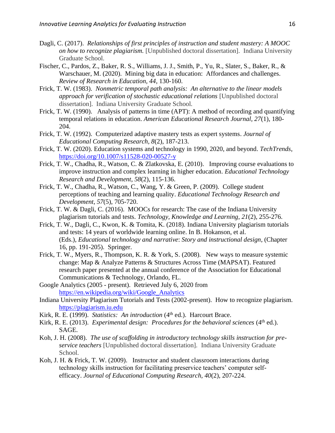- Dagli, C. (2017). *Relationships of first principles of instruction and student mastery: A MOOC on how to recognize plagiarism.* [Unpublished doctoral dissertation]. Indiana University Graduate School.
- Fischer, C., Pardos, Z., Baker, R. S., Williams, J. J., Smith, P., Yu, R., Slater, S., Baker, R., & Warschauer, M. (2020). Mining big data in education: Affordances and challenges. *Review of Research in Education, 44*, 130-160.
- Frick, T. W. (1983). *Nonmetric temporal path analysis: An alternative to the linear models approach for verification of stochastic educational relations* [Unpublished doctoral dissertation]. Indiana University Graduate School.
- Frick, T. W. (1990). Analysis of patterns in time (APT): A method of recording and quantifying temporal relations in education. *American Educational Research Journal, 27*(1), 180- 204.
- Frick, T. W. (1992). Computerized adaptive mastery tests as expert systems. *Journal of Educational Computing Research, 8*(2), 187-213.
- Frick, T. W. (2020). Education systems and technology in 1990, 2020, and beyond. *TechTrends*, <https://doi.org/10.1007/s11528-020-00527-y>
- Frick, T. W., Chadha, R., Watson, C. & Zlatkovska, E. (2010). Improving course evaluations to improve instruction and complex learning in higher education. *Educational Technology Research and Development*, *58*(2), 115-136.
- Frick, T. W., Chadha, R., Watson, C., Wang, Y. & Green, P. (2009). College student perceptions of teaching and learning quality. *Educational Technology Research and Development*, *57*(5), 705-720.
- Frick, T. W. & Dagli, C. (2016). MOOCs for research: The case of the Indiana University plagiarism tutorials and tests. *Technology, Knowledge and Learning*, *21*(2), 255-276.
- Frick, T. W., Dagli, C., Kwon, K. & Tomita, K. (2018). Indiana University plagiarism tutorials and tests: 14 years of worldwide learning online. In B. Hokanson, et al. (Eds.), *Educational technology and narrative*: *Story and instructional design*, (Chapter 16, pp. 191-205). Springer.
- Frick, T. W., Myers, R., Thompson, K. R. & York, S. (2008). New ways to measure systemic change: Map & Analyze Patterns & Structures Across Time (MAPSAT). Featured research paper presented at the annual conference of the Association for Educational Communications & Technology, Orlando, FL.
- Google Analytics (2005 present). Retrieved July 6, 2020 from [https://en.wikipedia.org/wiki/Google\\_Analytics](https://en.wikipedia.org/wiki/Google_Analytics)
- Indiana University Plagiarism Tutorials and Tests (2002-present). How to recognize plagiarism. [https://plagiarism.iu.edu](https://plagiarism.iu.edu/)
- Kirk, R. E. (1999). *Statistics: An introduction* (4<sup>th</sup> ed.). Harcourt Brace.
- Kirk, R. E. (2013). *Experimental design: Procedures for the behavioral sciences* (4<sup>th</sup> ed.). SAGE.
- Koh, J. H. (2008). *The use of scaffolding in introductory technology skills instruction for preservice teachers* [Unpublished doctoral dissertation]. Indiana University Graduate School.
- Koh, J. H. & Frick, T. W. (2009). Instructor and student classroom interactions during technology skills instruction for facilitating preservice teachers' computer selfefficacy. *Journal of Educational Computing Research, 40*(2), 207-224.